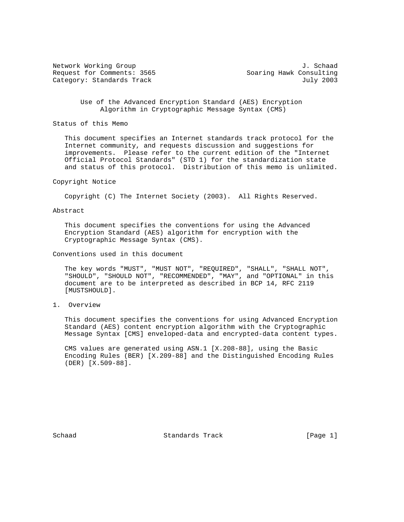Request for Comments: 3565 Soaring Hawk Consulting Category: Standards Track July 2003

Network Working Group J. Schaad

 Use of the Advanced Encryption Standard (AES) Encryption Algorithm in Cryptographic Message Syntax (CMS)

Status of this Memo

 This document specifies an Internet standards track protocol for the Internet community, and requests discussion and suggestions for improvements. Please refer to the current edition of the "Internet Official Protocol Standards" (STD 1) for the standardization state and status of this protocol. Distribution of this memo is unlimited.

#### Copyright Notice

Copyright (C) The Internet Society (2003). All Rights Reserved.

### Abstract

 This document specifies the conventions for using the Advanced Encryption Standard (AES) algorithm for encryption with the Cryptographic Message Syntax (CMS).

Conventions used in this document

 The key words "MUST", "MUST NOT", "REQUIRED", "SHALL", "SHALL NOT", "SHOULD", "SHOULD NOT", "RECOMMENDED", "MAY", and "OPTIONAL" in this document are to be interpreted as described in BCP 14, RFC 2119 [MUSTSHOULD].

# 1. Overview

 This document specifies the conventions for using Advanced Encryption Standard (AES) content encryption algorithm with the Cryptographic Message Syntax [CMS] enveloped-data and encrypted-data content types.

 CMS values are generated using ASN.1 [X.208-88], using the Basic Encoding Rules (BER) [X.209-88] and the Distinguished Encoding Rules (DER) [X.509-88].

Schaad Standards Track [Page 1]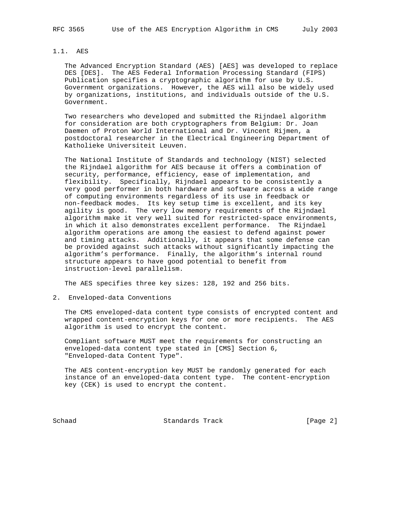# 1.1. AES

 The Advanced Encryption Standard (AES) [AES] was developed to replace DES [DES]. The AES Federal Information Processing Standard (FIPS) Publication specifies a cryptographic algorithm for use by U.S. Government organizations. However, the AES will also be widely used by organizations, institutions, and individuals outside of the U.S. Government.

 Two researchers who developed and submitted the Rijndael algorithm for consideration are both cryptographers from Belgium: Dr. Joan Daemen of Proton World International and Dr. Vincent Rijmen, a postdoctoral researcher in the Electrical Engineering Department of Katholieke Universiteit Leuven.

 The National Institute of Standards and technology (NIST) selected the Rijndael algorithm for AES because it offers a combination of security, performance, efficiency, ease of implementation, and flexibility. Specifically, Rijndael appears to be consistently a very good performer in both hardware and software across a wide range of computing environments regardless of its use in feedback or non-feedback modes. Its key setup time is excellent, and its key agility is good. The very low memory requirements of the Rijndael algorithm make it very well suited for restricted-space environments, in which it also demonstrates excellent performance. The Rijndael algorithm operations are among the easiest to defend against power and timing attacks. Additionally, it appears that some defense can be provided against such attacks without significantly impacting the algorithm's performance. Finally, the algorithm's internal round structure appears to have good potential to benefit from instruction-level parallelism.

The AES specifies three key sizes: 128, 192 and 256 bits.

2. Enveloped-data Conventions

 The CMS enveloped-data content type consists of encrypted content and wrapped content-encryption keys for one or more recipients. The AES algorithm is used to encrypt the content.

 Compliant software MUST meet the requirements for constructing an enveloped-data content type stated in [CMS] Section 6, "Enveloped-data Content Type".

 The AES content-encryption key MUST be randomly generated for each instance of an enveloped-data content type. The content-encryption key (CEK) is used to encrypt the content.

Schaad Standards Track [Page 2]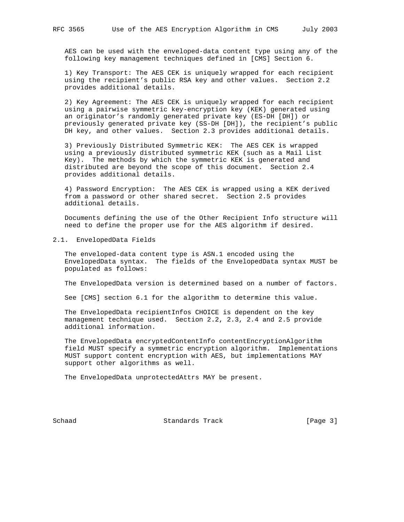AES can be used with the enveloped-data content type using any of the following key management techniques defined in [CMS] Section 6.

 1) Key Transport: The AES CEK is uniquely wrapped for each recipient using the recipient's public RSA key and other values. Section 2.2 provides additional details.

 2) Key Agreement: The AES CEK is uniquely wrapped for each recipient using a pairwise symmetric key-encryption key (KEK) generated using an originator's randomly generated private key (ES-DH [DH]) or previously generated private key (SS-DH [DH]), the recipient's public DH key, and other values. Section 2.3 provides additional details.

 3) Previously Distributed Symmetric KEK: The AES CEK is wrapped using a previously distributed symmetric KEK (such as a Mail List Key). The methods by which the symmetric KEK is generated and distributed are beyond the scope of this document. Section 2.4 provides additional details.

 4) Password Encryption: The AES CEK is wrapped using a KEK derived from a password or other shared secret. Section 2.5 provides additional details.

 Documents defining the use of the Other Recipient Info structure will need to define the proper use for the AES algorithm if desired.

#### 2.1. EnvelopedData Fields

 The enveloped-data content type is ASN.1 encoded using the EnvelopedData syntax. The fields of the EnvelopedData syntax MUST be populated as follows:

The EnvelopedData version is determined based on a number of factors.

See [CMS] section 6.1 for the algorithm to determine this value.

 The EnvelopedData recipientInfos CHOICE is dependent on the key management technique used. Section 2.2, 2.3, 2.4 and 2.5 provide additional information.

 The EnvelopedData encryptedContentInfo contentEncryptionAlgorithm field MUST specify a symmetric encryption algorithm. Implementations MUST support content encryption with AES, but implementations MAY support other algorithms as well.

The EnvelopedData unprotectedAttrs MAY be present.

Schaad **Standards Track** [Page 3]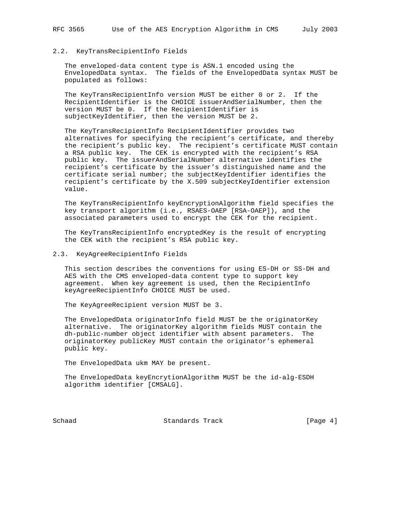# 2.2. KeyTransRecipientInfo Fields

 The enveloped-data content type is ASN.1 encoded using the EnvelopedData syntax. The fields of the EnvelopedData syntax MUST be populated as follows:

 The KeyTransRecipientInfo version MUST be either 0 or 2. If the RecipientIdentifier is the CHOICE issuerAndSerialNumber, then the version MUST be 0. If the RecipientIdentifier is subjectKeyIdentifier, then the version MUST be 2.

 The KeyTransRecipientInfo RecipientIdentifier provides two alternatives for specifying the recipient's certificate, and thereby the recipient's public key. The recipient's certificate MUST contain a RSA public key. The CEK is encrypted with the recipient's RSA public key. The issuerAndSerialNumber alternative identifies the recipient's certificate by the issuer's distinguished name and the certificate serial number; the subjectKeyIdentifier identifies the recipient's certificate by the X.509 subjectKeyIdentifier extension value.

 The KeyTransRecipientInfo keyEncryptionAlgorithm field specifies the key transport algorithm (i.e., RSAES-OAEP [RSA-OAEP]), and the associated parameters used to encrypt the CEK for the recipient.

 The KeyTransRecipientInfo encryptedKey is the result of encrypting the CEK with the recipient's RSA public key.

### 2.3. KeyAgreeRecipientInfo Fields

 This section describes the conventions for using ES-DH or SS-DH and AES with the CMS enveloped-data content type to support key agreement. When key agreement is used, then the RecipientInfo keyAgreeRecipientInfo CHOICE MUST be used.

The KeyAgreeRecipient version MUST be 3.

 The EnvelopedData originatorInfo field MUST be the originatorKey alternative. The originatorKey algorithm fields MUST contain the dh-public-number object identifier with absent parameters. The originatorKey publicKey MUST contain the originator's ephemeral public key.

The EnvelopedData ukm MAY be present.

 The EnvelopedData keyEncrytionAlgorithm MUST be the id-alg-ESDH algorithm identifier [CMSALG].

Schaad **Standards Track Standards** Track **Example 1** [Page 4]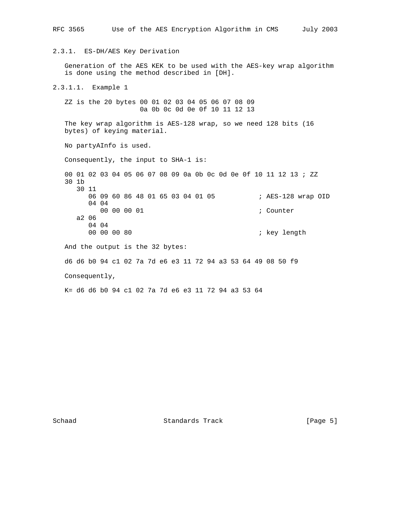RFC 3565 Use of the AES Encryption Algorithm in CMS July 2003 2.3.1. ES-DH/AES Key Derivation Generation of the AES KEK to be used with the AES-key wrap algorithm is done using the method described in [DH]. 2.3.1.1. Example 1 ZZ is the 20 bytes 00 01 02 03 04 05 06 07 08 09 0a 0b 0c 0d 0e 0f 10 11 12 13 The key wrap algorithm is AES-128 wrap, so we need 128 bits (16 bytes) of keying material. No partyAInfo is used. Consequently, the input to SHA-1 is: 00 01 02 03 04 05 06 07 08 09 0a 0b 0c 0d 0e 0f 10 11 12 13 ; ZZ 30 1b 30 11 06 09 60 86 48 01 65 03 04 01 05 ; AES-128 wrap OID 04 04 00 00 00 01 **; Counter**  a2 06 04 04<br>00 00 00 80 ; key length And the output is the 32 bytes: d6 d6 b0 94 c1 02 7a 7d e6 e3 11 72 94 a3 53 64 49 08 50 f9 Consequently, K= d6 d6 b0 94 c1 02 7a 7d e6 e3 11 72 94 a3 53 64

Schaad Standards Track [Page 5]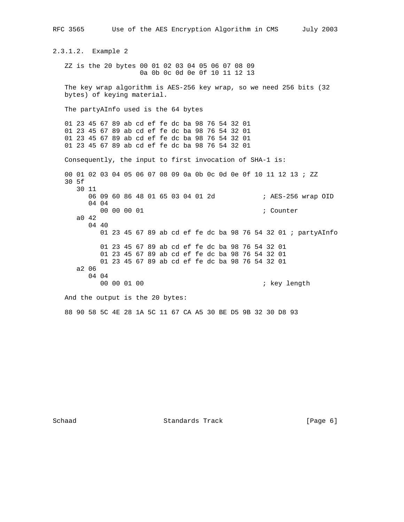RFC 3565 Use of the AES Encryption Algorithm in CMS July 2003 2.3.1.2. Example 2 ZZ is the 20 bytes 00 01 02 03 04 05 06 07 08 09 0a 0b 0c 0d 0e 0f 10 11 12 13 The key wrap algorithm is AES-256 key wrap, so we need 256 bits (32 bytes) of keying material. The partyAInfo used is the 64 bytes 01 23 45 67 89 ab cd ef fe dc ba 98 76 54 32 01 01 23 45 67 89 ab cd ef fe dc ba 98 76 54 32 01 01 23 45 67 89 ab cd ef fe dc ba 98 76 54 32 01 01 23 45 67 89 ab cd ef fe dc ba 98 76 54 32 01 Consequently, the input to first invocation of SHA-1 is: 00 01 02 03 04 05 06 07 08 09 0a 0b 0c 0d 0e 0f 10 11 12 13 ; ZZ 30 5f 30 11 06 09 60 86 48 01 65 03 04 01 2d ; AES-256 wrap OID 04 04 00 00 00 01 *i* Counter a0 42 04 40 01 23 45 67 89 ab cd ef fe dc ba 98 76 54 32 01 ; partyAInfo 01 23 45 67 89 ab cd ef fe dc ba 98 76 54 32 01 01 23 45 67 89 ab cd ef fe dc ba 98 76 54 32 01 01 23 45 67 89 ab cd ef fe dc ba 98 76 54 32 01 a2 06 04 04<br>00 00 01 00 ; key length And the output is the 20 bytes: 88 90 58 5C 4E 28 1A 5C 11 67 CA A5 30 BE D5 9B 32 30 D8 93

Schaad **Standards Track** [Page 6]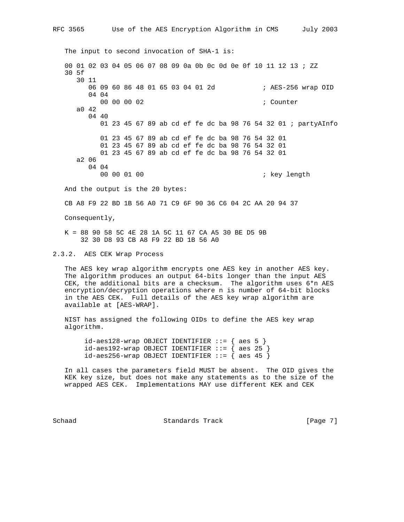The input to second invocation of SHA-1 is: 00 01 02 03 04 05 06 07 08 09 0a 0b 0c 0d 0e 0f 10 11 12 13 ; ZZ 30 5f 30 11 06 09 60 86 48 01 65 03 04 01 2d ; AES-256 wrap OID 04 04 00 00 00 02 **; Counter**  a0 42 04 40 01 23 45 67 89 ab cd ef fe dc ba 98 76 54 32 01 ; partyAInfo 01 23 45 67 89 ab cd ef fe dc ba 98 76 54 32 01 01 23 45 67 89 ab cd ef fe dc ba 98 76 54 32 01 01 23 45 67 89 ab cd ef fe dc ba 98 76 54 32 01 a2 06 04 04<br>00 00 01 00 ; key length And the output is the 20 bytes:

CB A8 F9 22 BD 1B 56 A0 71 C9 6F 90 36 C6 04 2C AA 20 94 37

Consequently,

 K = 88 90 58 5C 4E 28 1A 5C 11 67 CA A5 30 BE D5 9B 32 30 D8 93 CB A8 F9 22 BD 1B 56 A0

2.3.2. AES CEK Wrap Process

 The AES key wrap algorithm encrypts one AES key in another AES key. The algorithm produces an output 64-bits longer than the input AES CEK, the additional bits are a checksum. The algorithm uses 6\*n AES encryption/decryption operations where n is number of 64-bit blocks in the AES CEK. Full details of the AES key wrap algorithm are available at [AES-WRAP].

 NIST has assigned the following OIDs to define the AES key wrap algorithm.

 $id-aes128-wrap$  OBJECT IDENTIFIER  $::=$  { aes 5 }  $id-aes192-wrap$  OBJECT IDENTIFIER  $::=$  { aes 25 } id-aes256-wrap OBJECT IDENTIFIER  $::=$  { aes 45 }

 In all cases the parameters field MUST be absent. The OID gives the KEK key size, but does not make any statements as to the size of the wrapped AES CEK. Implementations MAY use different KEK and CEK

Schaad Standards Track [Page 7]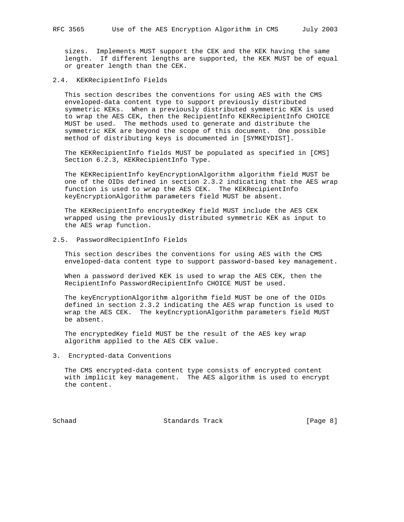sizes. Implements MUST support the CEK and the KEK having the same length. If different lengths are supported, the KEK MUST be of equal or greater length than the CEK.

2.4. KEKRecipientInfo Fields

 This section describes the conventions for using AES with the CMS enveloped-data content type to support previously distributed symmetric KEKs. When a previously distributed symmetric KEK is used to wrap the AES CEK, then the RecipientInfo KEKRecipientInfo CHOICE MUST be used. The methods used to generate and distribute the symmetric KEK are beyond the scope of this document. One possible method of distributing keys is documented in [SYMKEYDIST].

 The KEKRecipientInfo fields MUST be populated as specified in [CMS] Section 6.2.3, KEKRecipientInfo Type.

 The KEKRecipientInfo keyEncryptionAlgorithm algorithm field MUST be one of the OIDs defined in section 2.3.2 indicating that the AES wrap function is used to wrap the AES CEK. The KEKRecipientInfo keyEncryptionAlgorithm parameters field MUST be absent.

 The KEKRecipientInfo encryptedKey field MUST include the AES CEK wrapped using the previously distributed symmetric KEK as input to the AES wrap function.

#### 2.5. PasswordRecipientInfo Fields

 This section describes the conventions for using AES with the CMS enveloped-data content type to support password-based key management.

 When a password derived KEK is used to wrap the AES CEK, then the RecipientInfo PasswordRecipientInfo CHOICE MUST be used.

 The keyEncryptionAlgorithm algorithm field MUST be one of the OIDs defined in section 2.3.2 indicating the AES wrap function is used to wrap the AES CEK. The keyEncryptionAlgorithm parameters field MUST be absent.

 The encryptedKey field MUST be the result of the AES key wrap algorithm applied to the AES CEK value.

3. Encrypted-data Conventions

 The CMS encrypted-data content type consists of encrypted content with implicit key management. The AES algorithm is used to encrypt the content.

Schaad Standards Track [Page 8]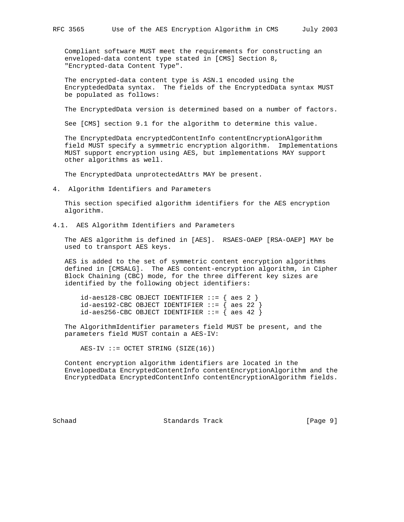Compliant software MUST meet the requirements for constructing an enveloped-data content type stated in [CMS] Section 8, "Encrypted-data Content Type".

 The encrypted-data content type is ASN.1 encoded using the EncryptededData syntax. The fields of the EncryptedData syntax MUST be populated as follows:

The EncryptedData version is determined based on a number of factors.

See [CMS] section 9.1 for the algorithm to determine this value.

 The EncryptedData encryptedContentInfo contentEncryptionAlgorithm field MUST specify a symmetric encryption algorithm. Implementations MUST support encryption using AES, but implementations MAY support other algorithms as well.

The EncryptedData unprotectedAttrs MAY be present.

4. Algorithm Identifiers and Parameters

 This section specified algorithm identifiers for the AES encryption algorithm.

4.1. AES Algorithm Identifiers and Parameters

 The AES algorithm is defined in [AES]. RSAES-OAEP [RSA-OAEP] MAY be used to transport AES keys.

 AES is added to the set of symmetric content encryption algorithms defined in [CMSALG]. The AES content-encryption algorithm, in Cipher Block Chaining (CBC) mode, for the three different key sizes are identified by the following object identifiers:

 $id-aes128-CBC OBJECT IDENTIFYER ::= { aes 2 }$ id-aes192-CBC OBJECT IDENTIFIER  $::=$  { aes 22 } id-aes256-CBC OBJECT IDENTIFIER  $::=$  { aes 42 }

 The AlgorithmIdentifier parameters field MUST be present, and the parameters field MUST contain a AES-IV:

 $AES-IV ::= OCTET STRING (SIZE(16))$ 

 Content encryption algorithm identifiers are located in the EnvelopedData EncryptedContentInfo contentEncryptionAlgorithm and the EncryptedData EncryptedContentInfo contentEncryptionAlgorithm fields.

Schaad Standards Track [Page 9]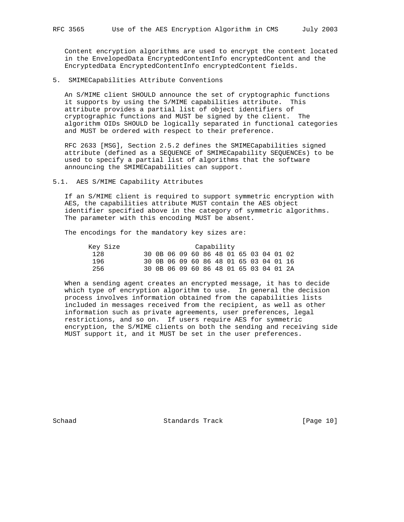Content encryption algorithms are used to encrypt the content located in the EnvelopedData EncryptedContentInfo encryptedContent and the EncryptedData EncryptedContentInfo encryptedContent fields.

5. SMIMECapabilities Attribute Conventions

 An S/MIME client SHOULD announce the set of cryptographic functions it supports by using the S/MIME capabilities attribute. This attribute provides a partial list of object identifiers of cryptographic functions and MUST be signed by the client. The algorithm OIDs SHOULD be logically separated in functional categories and MUST be ordered with respect to their preference.

 RFC 2633 [MSG], Section 2.5.2 defines the SMIMECapabilities signed attribute (defined as a SEQUENCE of SMIMECapability SEQUENCEs) to be used to specify a partial list of algorithms that the software announcing the SMIMECapabilities can support.

# 5.1. AES S/MIME Capability Attributes

 If an S/MIME client is required to support symmetric encryption with AES, the capabilities attribute MUST contain the AES object identifier specified above in the category of symmetric algorithms. The parameter with this encoding MUST be absent.

The encodings for the mandatory key sizes are:

| Key Size | Capability |  |  |  |  |  |  |  |  |  |  |                                        |  |
|----------|------------|--|--|--|--|--|--|--|--|--|--|----------------------------------------|--|
| 128      |            |  |  |  |  |  |  |  |  |  |  | 30 0B 06 09 60 86 48 01 65 03 04 01 02 |  |
| 196      |            |  |  |  |  |  |  |  |  |  |  | 30 OB 06 09 60 86 48 01 65 03 04 01 16 |  |
| 256      |            |  |  |  |  |  |  |  |  |  |  | 30 OB 06 09 60 86 48 01 65 03 04 01 2A |  |

 When a sending agent creates an encrypted message, it has to decide which type of encryption algorithm to use. In general the decision process involves information obtained from the capabilities lists included in messages received from the recipient, as well as other information such as private agreements, user preferences, legal restrictions, and so on. If users require AES for symmetric encryption, the S/MIME clients on both the sending and receiving side MUST support it, and it MUST be set in the user preferences.

Schaad Standards Track [Page 10]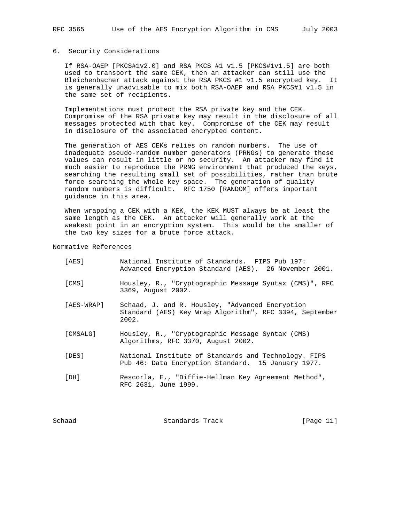# 6. Security Considerations

 If RSA-OAEP [PKCS#1v2.0] and RSA PKCS #1 v1.5 [PKCS#1v1.5] are both used to transport the same CEK, then an attacker can still use the Bleichenbacher attack against the RSA PKCS #1 v1.5 encrypted key. It is generally unadvisable to mix both RSA-OAEP and RSA PKCS#1 v1.5 in the same set of recipients.

 Implementations must protect the RSA private key and the CEK. Compromise of the RSA private key may result in the disclosure of all messages protected with that key. Compromise of the CEK may result in disclosure of the associated encrypted content.

 The generation of AES CEKs relies on random numbers. The use of inadequate pseudo-random number generators (PRNGs) to generate these values can result in little or no security. An attacker may find it much easier to reproduce the PRNG environment that produced the keys, searching the resulting small set of possibilities, rather than brute force searching the whole key space. The generation of quality random numbers is difficult. RFC 1750 [RANDOM] offers important guidance in this area.

 When wrapping a CEK with a KEK, the KEK MUST always be at least the same length as the CEK. An attacker will generally work at the weakest point in an encryption system. This would be the smaller of the two key sizes for a brute force attack.

Normative References

| [AES]      | National Institute of Standards. FIPS Pub 197:<br>Advanced Encryption Standard (AES). 26 November 2001.             |
|------------|---------------------------------------------------------------------------------------------------------------------|
| [CMS]      | Housley, R., "Cryptographic Message Syntax (CMS)", RFC<br>3369, August 2002.                                        |
| [AES-WRAP] | Schaad, J. and R. Housley, "Advanced Encryption<br>Standard (AES) Key Wrap Algorithm", RFC 3394, September<br>2002. |
| [CMSALG]   | Housley, R., "Cryptographic Message Syntax (CMS)<br>Algorithms, RFC 3370, August 2002.                              |
| [DES]      | National Institute of Standards and Technology. FIPS<br>Pub 46: Data Encryption Standard. 15 January 1977.          |
| [DH]       | Rescorla, E., "Diffie-Hellman Key Agreement Method",<br>RFC 2631, June 1999.                                        |

Schaad Standards Track [Page 11]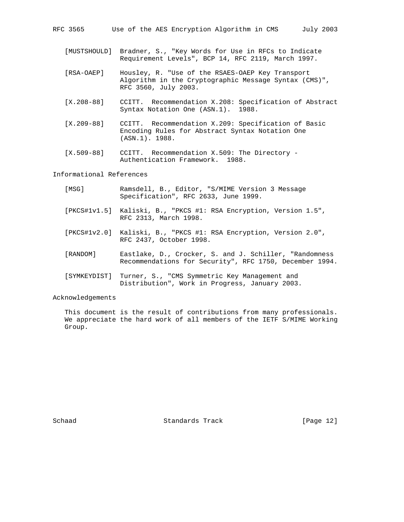| RFC 3565 |  |  |  |  |  | Use of the AES Encryption Algorithm in CMS |  |  |  | July 2003 |
|----------|--|--|--|--|--|--------------------------------------------|--|--|--|-----------|
|----------|--|--|--|--|--|--------------------------------------------|--|--|--|-----------|

- [MUSTSHOULD] Bradner, S., "Key Words for Use in RFCs to Indicate Requirement Levels", BCP 14, RFC 2119, March 1997.
- [RSA-OAEP] Housley, R. "Use of the RSAES-OAEP Key Transport Algorithm in the Cryptographic Message Syntax (CMS)", RFC 3560, July 2003.
- [X.208-88] CCITT. Recommendation X.208: Specification of Abstract Syntax Notation One (ASN.1). 1988.
- [X.209-88] CCITT. Recommendation X.209: Specification of Basic Encoding Rules for Abstract Syntax Notation One (ASN.1). 1988.
- [X.509-88] CCITT. Recommendation X.509: The Directory Authentication Framework. 1988.

Informational References

| [MSG]    | Ramsdell, B., Editor, "S/MIME Version 3 Message<br>Specification", RFC 2633, June 1999.                           |
|----------|-------------------------------------------------------------------------------------------------------------------|
|          | [PKCS#1v1.5] Kaliski, B., "PKCS #1: RSA Encryption, Version 1.5",<br>RFC 2313, March 1998.                        |
|          | [PKCS#1v2.0] Kaliski, B., "PKCS #1: RSA Encryption, Version 2.0",<br>RFC 2437, October 1998.                      |
| [RANDOM] | Eastlake, D., Crocker, S. and J. Schiller, "Randomness<br>Recommendations for Security", RFC 1750, December 1994. |
|          | [SYMKEYDIST] Turner, S., "CMS Symmetric Key Management and                                                        |

Acknowledgements

 This document is the result of contributions from many professionals. We appreciate the hard work of all members of the IETF S/MIME Working Group.

Distribution", Work in Progress, January 2003.

Schaad Standards Track [Page 12]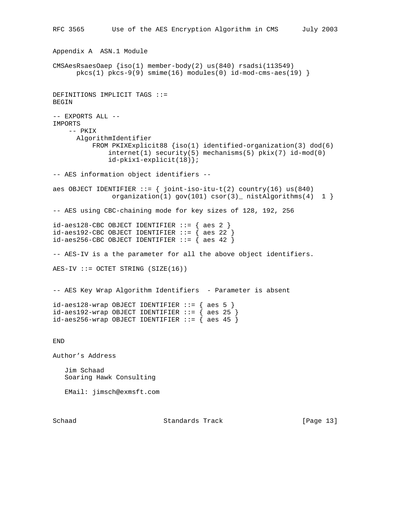```
RFC 3565 Use of the AES Encryption Algorithm in CMS July 2003
Appendix A ASN.1 Module
CMSAesRsaesOaep {iso(1) member-body(2) us(840) rsadsi(113549)
     pkcs(1) pkcs-9(9) simime(16) modules(0) id-mod-cms-aes(19)DEFINITIONS IMPLICIT TAGS ::=
BEGIN
-- EXPORTS ALL --
IMPORTS
    -- PKIX
      AlgorithmIdentifier
           FROM PKIXExplicit88 {iso(1) identified-organization(3) dod(6)
               internet(1) security(5) mechanisms(5) pkix(7) id-mod(0)
               id-pkix1-explicit(18)};
-- AES information object identifiers --
aes OBJECT IDENTIFIER ::= \{ joint-iso-itu-t(2) country(16) us(840)
               organization(1) gov(101) csort(3) nistAlgorithms(4) 1 }
-- AES using CBC-chaining mode for key sizes of 128, 192, 256
id-aes128-CBC OBJECT IDENTIFIER ::= { aes 2 }id-aes192-CBC OBJECT IDENTIFIER ::= { aes 22 }
id-aes256-CBC OBJECT IDENTIFIER ::= { aes 42 }
-- AES-IV is a the parameter for all the above object identifiers.
AES-IV ::= OCTET STRING (SIZE(16))
-- AES Key Wrap Algorithm Identifiers - Parameter is absent
id-aes128-wrap OBJECT IDENTIFIER ::= { aes 5 }
id-aes192-wrap OBJECT IDENTIFIER ::= { aes 25 }
id-aes256-wrap OBJECT IDENTIFIER ::= { aes 45 }
END
Author's Address
    Jim Schaad
    Soaring Hawk Consulting
   EMail: jimsch@exmsft.com
```
Schaad Standards Track [Page 13]